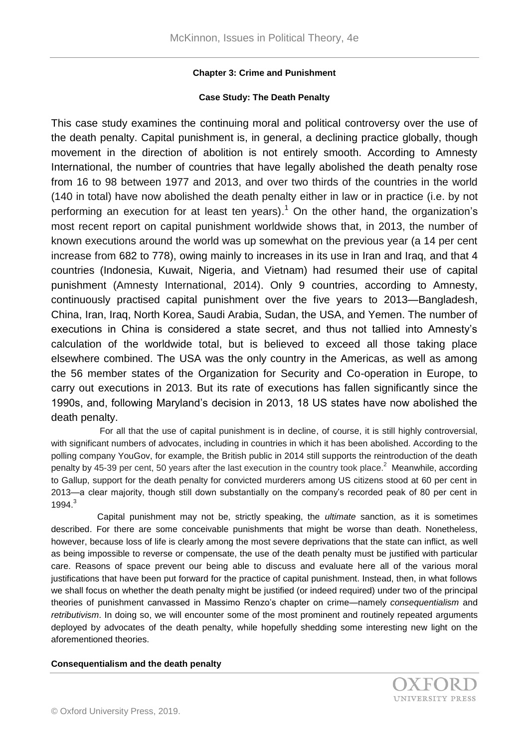# **Chapter 3: Crime and Punishment**

## **Case Study: The Death Penalty**

This case study examines the continuing moral and political controversy over the use of the death penalty. Capital punishment is, in general, a declining practice globally, though movement in the direction of abolition is not entirely smooth. According to Amnesty International, the number of countries that have legally abolished the death penalty rose from 16 to 98 between 1977 and 2013, and over two thirds of the countries in the world (140 in total) have now abolished the death penalty either in law or in practice (i.e. by not performing an execution for at least ten years).<sup>1</sup> On the other hand, the organization's most recent report on capital punishment worldwide shows that, in 2013, the number of known executions around the world was up somewhat on the previous year (a 14 per cent increase from 682 to 778), owing mainly to increases in its use in Iran and Iraq, and that 4 countries (Indonesia, Kuwait, Nigeria, and Vietnam) had resumed their use of capital punishment (Amnesty International, 2014). Only 9 countries, according to Amnesty, continuously practised capital punishment over the five years to 2013—Bangladesh, China, Iran, Iraq, North Korea, Saudi Arabia, Sudan, the USA, and Yemen. The number of executions in China is considered a state secret, and thus not tallied into Amnesty's calculation of the worldwide total, but is believed to exceed all those taking place elsewhere combined. The USA was the only country in the Americas, as well as among the 56 member states of the Organization for Security and Co-operation in Europe, to carry out executions in 2013. But its rate of executions has fallen significantly since the 1990s, and, following Maryland's decision in 2013, 18 US states have now abolished the death penalty.

 For all that the use of capital punishment is in decline, of course, it is still highly controversial, with significant numbers of advocates, including in countries in which it has been abolished. According to the polling company YouGov, for example, the British public in 2014 still supports the reintroduction of the death penalty by 45-39 per cent, 50 years after the last execution in the country took place.<sup>2</sup> Meanwhile, according to Gallup, support for the death penalty for convicted murderers among US citizens stood at 60 per cent in 2013—a clear majority, though still down substantially on the company's recorded peak of 80 per cent in 1994.<sup>3</sup>

 Capital punishment may not be, strictly speaking, the *ultimate* sanction, as it is sometimes described. For there are some conceivable punishments that might be worse than death. Nonetheless, however, because loss of life is clearly among the most severe deprivations that the state can inflict, as well as being impossible to reverse or compensate, the use of the death penalty must be justified with particular care. Reasons of space prevent our being able to discuss and evaluate here all of the various moral justifications that have been put forward for the practice of capital punishment. Instead, then, in what follows we shall focus on whether the death penalty might be justified (or indeed required) under two of the principal theories of punishment canvassed in Massimo Renzo's chapter on crime—namely *consequentialism* and *retributivism*. In doing so, we will encounter some of the most prominent and routinely repeated arguments deployed by advocates of the death penalty, while hopefully shedding some interesting new light on the aforementioned theories.

### **Consequentialism and the death penalty**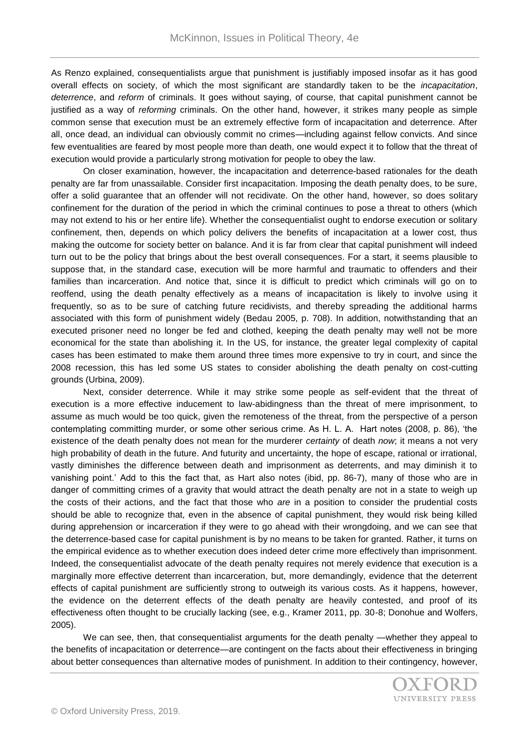As Renzo explained, consequentialists argue that punishment is justifiably imposed insofar as it has good overall effects on society, of which the most significant are standardly taken to be the *incapacitation*, *deterrence*, and *reform* of criminals. It goes without saying, of course, that capital punishment cannot be justified as a way of *reforming* criminals. On the other hand, however, it strikes many people as simple common sense that execution must be an extremely effective form of incapacitation and deterrence. After all, once dead, an individual can obviously commit no crimes—including against fellow convicts. And since few eventualities are feared by most people more than death, one would expect it to follow that the threat of execution would provide a particularly strong motivation for people to obey the law.

On closer examination, however, the incapacitation and deterrence-based rationales for the death penalty are far from unassailable. Consider first incapacitation. Imposing the death penalty does, to be sure, offer a solid guarantee that an offender will not recidivate. On the other hand, however, so does solitary confinement for the duration of the period in which the criminal continues to pose a threat to others (which may not extend to his or her entire life). Whether the consequentialist ought to endorse execution or solitary confinement, then, depends on which policy delivers the benefits of incapacitation at a lower cost, thus making the outcome for society better on balance. And it is far from clear that capital punishment will indeed turn out to be the policy that brings about the best overall consequences. For a start, it seems plausible to suppose that, in the standard case, execution will be more harmful and traumatic to offenders and their families than incarceration. And notice that, since it is difficult to predict which criminals will go on to reoffend, using the death penalty effectively as a means of incapacitation is likely to involve using it frequently, so as to be sure of catching future recidivists, and thereby spreading the additional harms associated with this form of punishment widely (Bedau 2005, p. 708). In addition, notwithstanding that an executed prisoner need no longer be fed and clothed, keeping the death penalty may well not be more economical for the state than abolishing it. In the US, for instance, the greater legal complexity of capital cases has been estimated to make them around three times more expensive to try in court, and since the 2008 recession, this has led some US states to consider abolishing the death penalty on cost-cutting grounds (Urbina, 2009).

Next, consider deterrence. While it may strike some people as self-evident that the threat of execution is a more effective inducement to law-abidingness than the threat of mere imprisonment, to assume as much would be too quick, given the remoteness of the threat, from the perspective of a person contemplating committing murder, or some other serious crime. As H. L. A. Hart notes (2008, p. 86), 'the existence of the death penalty does not mean for the murderer *certainty* of death *now*; it means a not very high probability of death in the future. And futurity and uncertainty, the hope of escape, rational or irrational, vastly diminishes the difference between death and imprisonment as deterrents, and may diminish it to vanishing point.' Add to this the fact that, as Hart also notes (ibid, pp. 86-7), many of those who are in danger of committing crimes of a gravity that would attract the death penalty are not in a state to weigh up the costs of their actions, and the fact that those who *are* in a position to consider the prudential costs should be able to recognize that, even in the absence of capital punishment, they would risk being killed during apprehension or incarceration if they were to go ahead with their wrongdoing, and we can see that the deterrence-based case for capital punishment is by no means to be taken for granted. Rather, it turns on the empirical evidence as to whether execution does indeed deter crime more effectively than imprisonment. Indeed, the consequentialist advocate of the death penalty requires not merely evidence that execution is a marginally more effective deterrent than incarceration, but, more demandingly, evidence that the deterrent effects of capital punishment are sufficiently strong to outweigh its various costs. As it happens, however, the evidence on the deterrent effects of the death penalty are heavily contested, and proof of its effectiveness often thought to be crucially lacking (see, e.g., Kramer 2011, pp. 30-8; Donohue and Wolfers, 2005).

We can see, then, that consequentialist arguments for the death penalty —whether they appeal to the benefits of incapacitation or deterrence—are contingent on the facts about their effectiveness in bringing about better consequences than alternative modes of punishment. In addition to their contingency, however,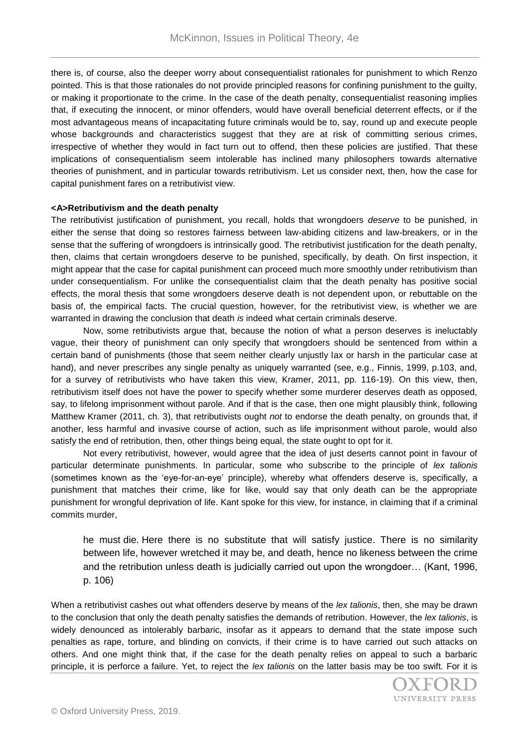there is, of course, also the deeper worry about consequentialist rationales for punishment to which Renzo pointed. This is that those rationales do not provide principled reasons for confining punishment to the guilty, or making it proportionate to the crime. In the case of the death penalty, consequentialist reasoning implies that, if executing the innocent, or minor offenders, would have overall beneficial deterrent effects, or if the most advantageous means of incapacitating future criminals would be to, say, round up and execute people whose backgrounds and characteristics suggest that they are at risk of committing serious crimes, irrespective of whether they would in fact turn out to offend, then these policies are justified. That these implications of consequentialism seem intolerable has inclined many philosophers towards alternative theories of punishment, and in particular towards retributivism. Let us consider next, then, how the case for capital punishment fares on a retributivist view.

#### **<A>Retributivism and the death penalty**

The retributivist justification of punishment, you recall, holds that wrongdoers *deserve* to be punished, in either the sense that doing so restores fairness between law-abiding citizens and law-breakers, or in the sense that the suffering of wrongdoers is intrinsically good. The retributivist justification for the death penalty, then, claims that certain wrongdoers deserve to be punished, specifically, by death. On first inspection, it might appear that the case for capital punishment can proceed much more smoothly under retributivism than under consequentialism. For unlike the consequentialist claim that the death penalty has positive social effects, the moral thesis that some wrongdoers deserve death is not dependent upon, or rebuttable on the basis of, the empirical facts. The crucial question, however, for the retributivist view, is whether we are warranted in drawing the conclusion that death *is* indeed what certain criminals deserve.

Now, some retributivists argue that, because the notion of what a person deserves is ineluctably vague, their theory of punishment can only specify that wrongdoers should be sentenced from within a certain band of punishments (those that seem neither clearly unjustly lax or harsh in the particular case at hand), and never prescribes any single penalty as uniquely warranted (see, e.g., Finnis, 1999, p.103, and, for a survey of retributivists who have taken this view, Kramer, 2011, pp. 116-19). On this view, then, retributivism itself does not have the power to specify whether some murderer deserves death as opposed, say, to lifelong imprisonment without parole. And if that is the case, then one might plausibly think, following Matthew Kramer (2011, ch. 3), that retributivists ought *not* to endorse the death penalty, on grounds that, if another, less harmful and invasive course of action, such as life imprisonment without parole, would also satisfy the end of retribution, then, other things being equal, the state ought to opt for it.

Not every retributivist, however, would agree that the idea of just deserts cannot point in favour of particular determinate punishments. In particular, some who subscribe to the principle of *lex talionis* (sometimes known as the 'eye-for-an-eye' principle), whereby what offenders deserve is, specifically, a punishment that matches their crime, like for like, would say that only death can be the appropriate punishment for wrongful deprivation of life. Kant spoke for this view, for instance, in claiming that if a criminal commits murder,

he must die. Here there is no substitute that will satisfy justice. There is no similarity between life, however wretched it may be, and death, hence no likeness between the crime and the retribution unless death is judicially carried out upon the wrongdoer… (Kant, 1996, p. 106)

When a retributivist cashes out what offenders deserve by means of the *lex talionis*, then, she may be drawn to the conclusion that only the death penalty satisfies the demands of retribution. However, the *lex talionis*, is widely denounced as intolerably barbaric, insofar as it appears to demand that the state impose such penalties as rape, torture, and blinding on convicts, if their crime is to have carried out such attacks on others. And one might think that, if the case for the death penalty relies on appeal to such a barbaric principle, it is perforce a failure. Yet, to reject the *lex talionis* on the latter basis may be too swift. For it is

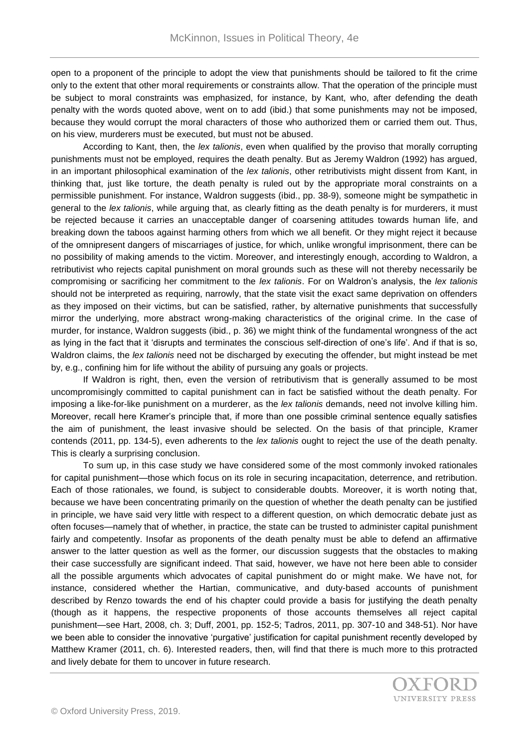open to a proponent of the principle to adopt the view that punishments should be tailored to fit the crime only to the extent that other moral requirements or constraints allow. That the operation of the principle must be subject to moral constraints was emphasized, for instance, by Kant, who, after defending the death penalty with the words quoted above, went on to add (ibid.) that some punishments may not be imposed, because they would corrupt the moral characters of those who authorized them or carried them out. Thus, on his view, murderers must be executed, but must not be abused.

According to Kant, then, the *lex talionis*, even when qualified by the proviso that morally corrupting punishments must not be employed, requires the death penalty. But as Jeremy Waldron (1992) has argued, in an important philosophical examination of the *lex talionis*, other retributivists might dissent from Kant, in thinking that, just like torture, the death penalty is ruled out by the appropriate moral constraints on a permissible punishment. For instance, Waldron suggests (ibid., pp. 38-9), someone might be sympathetic in general to the *lex talionis*, while arguing that, as clearly fitting as the death penalty is for murderers, it must be rejected because it carries an unacceptable danger of coarsening attitudes towards human life, and breaking down the taboos against harming others from which we all benefit. Or they might reject it because of the omnipresent dangers of miscarriages of justice, for which, unlike wrongful imprisonment, there can be no possibility of making amends to the victim. Moreover, and interestingly enough, according to Waldron, a retributivist who rejects capital punishment on moral grounds such as these will not thereby necessarily be compromising or sacrificing her commitment to the *lex talionis*. For on Waldron's analysis, the *lex talionis* should not be interpreted as requiring, narrowly, that the state visit the exact same deprivation on offenders as they imposed on their victims, but can be satisfied, rather, by alternative punishments that successfully mirror the underlying, more abstract wrong-making characteristics of the original crime. In the case of murder, for instance, Waldron suggests (ibid., p. 36) we might think of the fundamental wrongness of the act as lying in the fact that it 'disrupts and terminates the conscious self-direction of one's life'. And if that is so, Waldron claims, the *lex talionis* need not be discharged by executing the offender, but might instead be met by, e.g., confining him for life without the ability of pursuing any goals or projects.

If Waldron is right, then, even the version of retributivism that is generally assumed to be most uncompromisingly committed to capital punishment can in fact be satisfied without the death penalty. For imposing a like-for-like punishment on a murderer, as the *lex talionis* demands, need not involve killing him. Moreover, recall here Kramer's principle that, if more than one possible criminal sentence equally satisfies the aim of punishment, the least invasive should be selected. On the basis of that principle, Kramer contends (2011, pp. 134-5), even adherents to the *lex talionis* ought to reject the use of the death penalty. This is clearly a surprising conclusion.

To sum up, in this case study we have considered some of the most commonly invoked rationales for capital punishment—those which focus on its role in securing incapacitation, deterrence, and retribution. Each of those rationales, we found, is subject to considerable doubts. Moreover, it is worth noting that, because we have been concentrating primarily on the question of whether the death penalty can be justified in principle, we have said very little with respect to a different question, on which democratic debate just as often focuses—namely that of whether, in practice, the state can be trusted to administer capital punishment fairly and competently. Insofar as proponents of the death penalty must be able to defend an affirmative answer to the latter question as well as the former, our discussion suggests that the obstacles to making their case successfully are significant indeed. That said, however, we have not here been able to consider all the possible arguments which advocates of capital punishment do or might make. We have not, for instance, considered whether the Hartian, communicative, and duty-based accounts of punishment described by Renzo towards the end of his chapter could provide a basis for justifying the death penalty (though as it happens, the respective proponents of those accounts themselves all reject capital punishment—see Hart, 2008, ch. 3; Duff, 2001, pp. 152-5; Tadros, 2011, pp. 307-10 and 348-51). Nor have we been able to consider the innovative 'purgative' justification for capital punishment recently developed by Matthew Kramer (2011, ch. 6). Interested readers, then, will find that there is much more to this protracted and lively debate for them to uncover in future research.